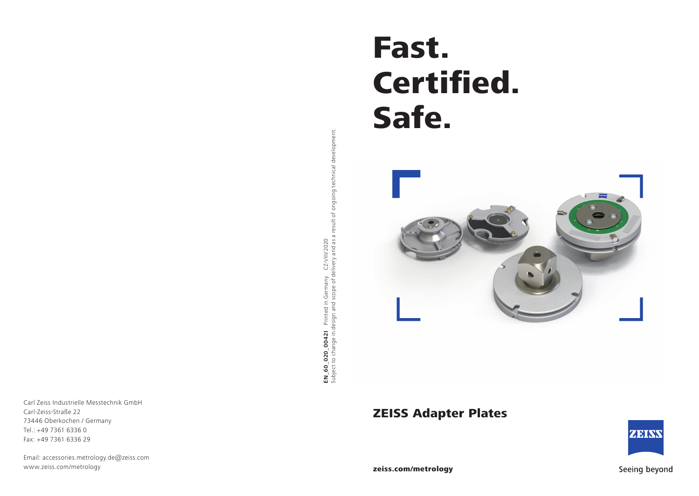Fast. Certified. Safe.



ZEISS Adapter Plates



EN\_60\_020\_00421 Printed in Germany CZ-VIII/2020<br>Subject to change in design and scope of delivery and as a result of ongoing technical development. Subject to change in design and scope of delivery and as a result of ongoing technical development. **EN\_60\_020\_0042I** Printed in Germany CZ-VIII/2020

Carl Zeiss Industrielle Messtechnik GmbH Carl-Zeiss-Straße 22 73446 Oberkochen / Germany Tel.: +49 7361 6336 0 Fax: +49 7361 6336 29

Email: accessories.metrology.de@zeiss.com www.zeiss.com/metrology



Seeing beyond